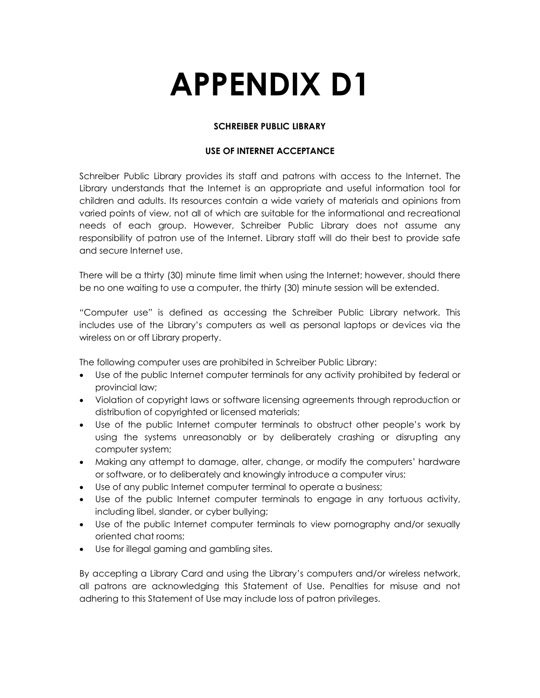# **APPENDIX D1**

# **SCHREIBER PUBLIC LIBRARY**

## **USE OF INTERNET ACCEPTANCE**

Schreiber Public Library provides its staff and patrons with access to the Internet. The Library understands that the Internet is an appropriate and useful information tool for children and adults. Its resources contain a wide variety of materials and opinions from varied points of view, not all of which are suitable for the informational and recreational needs of each group. However, Schreiber Public Library does not assume any responsibility of patron use of the Internet. Library staff will do their best to provide safe and secure Internet use.

There will be a thirty (30) minute time limit when using the Internet; however, should there be no one waiting to use a computer, the thirty (30) minute session will be extended.

"Computer use" is defined as accessing the Schreiber Public Library network. This includes use of the Library's computers as well as personal laptops or devices via the wireless on or off Library property.

The following computer uses are prohibited in Schreiber Public Library:

- Use of the public Internet computer terminals for any activity prohibited by federal or provincial law;
- Violation of copyright laws or software licensing agreements through reproduction or distribution of copyrighted or licensed materials;
- Use of the public Internet computer terminals to obstruct other people's work by using the systems unreasonably or by deliberately crashing or disrupting any computer system;
- Making any attempt to damage, alter, change, or modify the computers' hardware or software, or to deliberately and knowingly introduce a computer virus;
- Use of any public Internet computer terminal to operate a business;
- Use of the public Internet computer terminals to engage in any tortuous activity, including libel, slander, or cyber bullying;
- Use of the public Internet computer terminals to view pornography and/or sexually oriented chat rooms;
- Use for illegal gaming and gambling sites.

By accepting a Library Card and using the Library's computers and/or wireless network, all patrons are acknowledging this Statement of Use. Penalties for misuse and not adhering to this Statement of Use may include loss of patron privileges.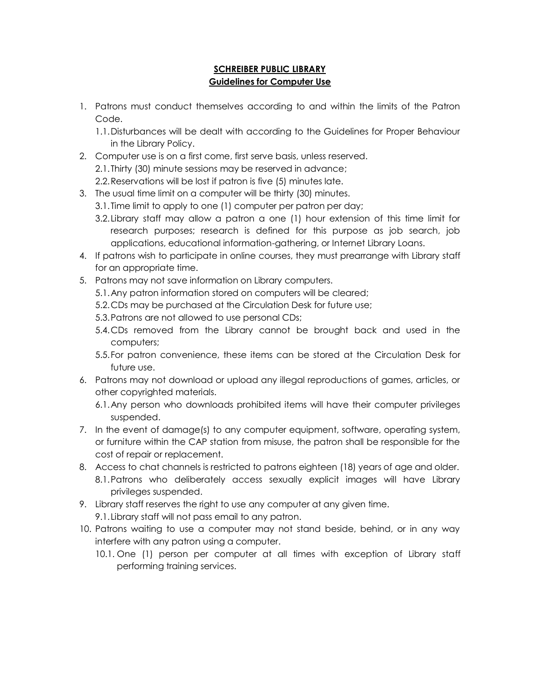## **SCHREIBER PUBLIC LIBRARY Guidelines for Computer Use**

- 1. Patrons must conduct themselves according to and within the limits of the Patron Code.
	- 1.1.Disturbances will be dealt with according to the Guidelines for Proper Behaviour in the Library Policy.
- 2. Computer use is on a first come, first serve basis, unless reserved.
	- 2.1.Thirty (30) minute sessions may be reserved in advance;
	- 2.2.Reservations will be lost if patron is five (5) minutes late.
- 3. The usual time limit on a computer will be thirty (30) minutes.
	- 3.1.Time limit to apply to one (1) computer per patron per day;
	- 3.2.Library staff may allow a patron a one (1) hour extension of this time limit for research purposes; research is defined for this purpose as job search, job applications, educational information-gathering, or Internet Library Loans.
- 4. If patrons wish to participate in online courses, they must prearrange with Library staff for an appropriate time.
- 5. Patrons may not save information on Library computers.
	- 5.1.Any patron information stored on computers will be cleared;
	- 5.2.CDs may be purchased at the Circulation Desk for future use;
	- 5.3.Patrons are not allowed to use personal CDs;
	- 5.4.CDs removed from the Library cannot be brought back and used in the computers;
	- 5.5.For patron convenience, these items can be stored at the Circulation Desk for future use.
- 6. Patrons may not download or upload any illegal reproductions of games, articles, or other copyrighted materials.
	- 6.1.Any person who downloads prohibited items will have their computer privileges suspended.
- 7. In the event of damage(s) to any computer equipment, software, operating system, or furniture within the CAP station from misuse, the patron shall be responsible for the cost of repair or replacement.
- 8. Access to chat channels is restricted to patrons eighteen (18) years of age and older. 8.1.Patrons who deliberately access sexually explicit images will have Library privileges suspended.
- 9. Library staff reserves the right to use any computer at any given time.
	- 9.1.Library staff will not pass email to any patron.
- 10. Patrons waiting to use a computer may not stand beside, behind, or in any way interfere with any patron using a computer.
	- 10.1. One (1) person per computer at all times with exception of Library staff performing training services.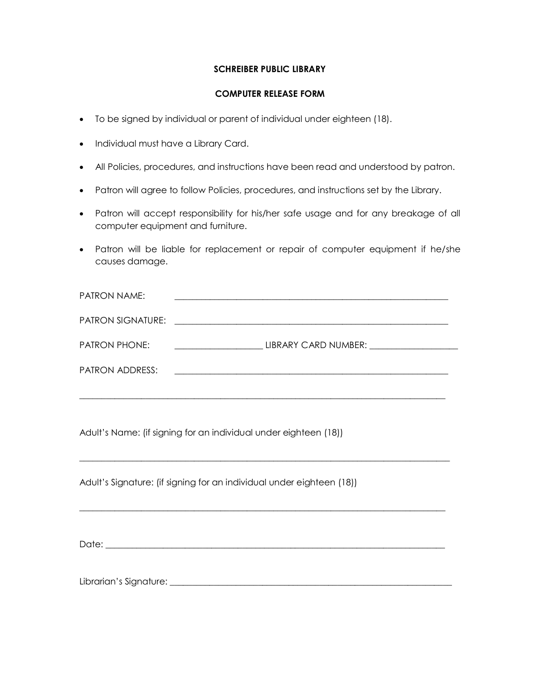#### **SCHREIBER PUBLIC LIBRARY**

#### **COMPUTER RELEASE FORM**

- To be signed by individual or parent of individual under eighteen (18).
- Individual must have a Library Card.
- All Policies, procedures, and instructions have been read and understood by patron.
- Patron will agree to follow Policies, procedures, and instructions set by the Library.
- Patron will accept responsibility for his/her safe usage and for any breakage of all computer equipment and furniture.
- Patron will be liable for replacement or repair of computer equipment if he/she causes damage.

| PATRON NAME:             |                                                                                                                       |
|--------------------------|-----------------------------------------------------------------------------------------------------------------------|
| <b>PATRON SIGNATURE:</b> | <u> 1980 - Jan Amerikaanse kommunister (</u>                                                                          |
| <b>PATRON PHONE:</b>     | LIBRARY CARD NUMBER:                                                                                                  |
| PATRON ADDRESS:          | <u> 1980 - Jan Barat, margaret ar manar a shekara tsara a shekara tsara a shekara tsara a shekara tsara a shekara</u> |
|                          |                                                                                                                       |

 $\Box$ 

 $\Box$ 

Adult's Name: (if signing for an individual under eighteen (18))

Adult's Signature: (if signing for an individual under eighteen (18))

Date: where  $\Box$ 

Librarian's Signature: \_\_\_\_\_\_\_\_\_\_\_\_\_\_\_\_\_\_\_\_\_\_\_\_\_\_\_\_\_\_\_\_\_\_\_\_\_\_\_\_\_\_\_\_\_\_\_\_\_\_\_\_\_\_\_\_\_\_\_\_\_\_\_\_